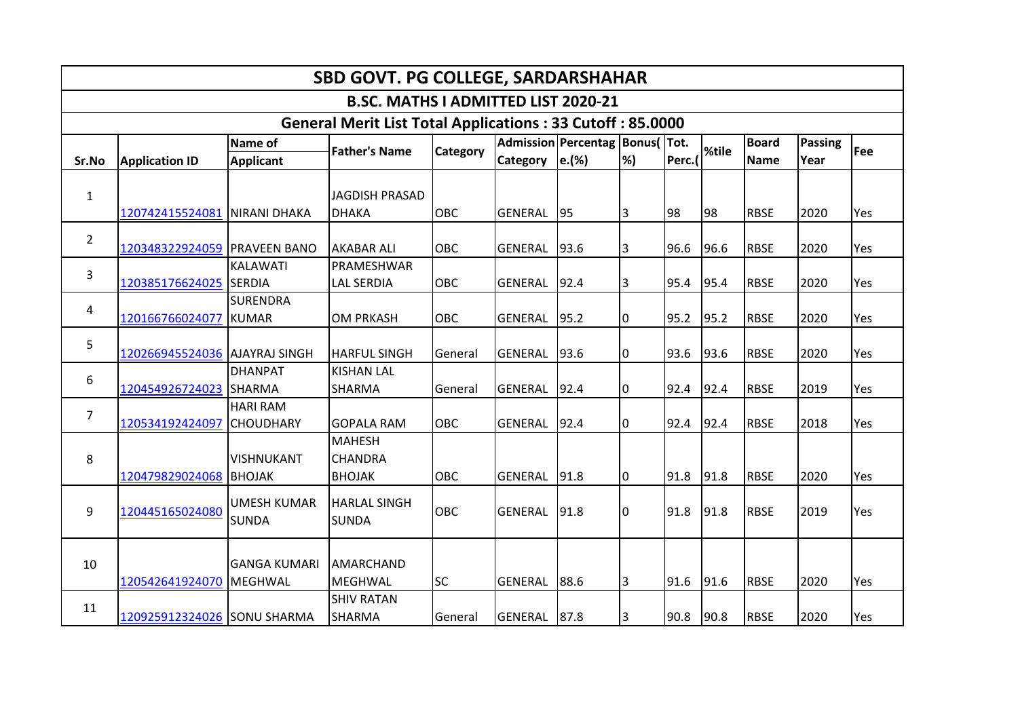|                |                               |                                     | <b>SBD GOVT. PG COLLEGE, SARDARSHAHAR</b>                        |                 |                |                                       |    |        |       |              |                |     |
|----------------|-------------------------------|-------------------------------------|------------------------------------------------------------------|-----------------|----------------|---------------------------------------|----|--------|-------|--------------|----------------|-----|
|                |                               |                                     | <b>B.SC. MATHS I ADMITTED LIST 2020-21</b>                       |                 |                |                                       |    |        |       |              |                |     |
|                |                               |                                     | <b>General Merit List Total Applications: 33 Cutoff: 85.0000</b> |                 |                |                                       |    |        |       |              |                |     |
|                |                               | <b>Name of</b>                      | <b>Father's Name</b>                                             | <b>Category</b> |                | Admission   Percentag   Bonus(   Tot. |    |        | %tile | <b>Board</b> | <b>Passing</b> | Fee |
| Sr.No          | <b>Application ID</b>         | <b>Applicant</b>                    |                                                                  |                 | Category       | e.(%)                                 | %  | Perc.( |       | <b>Name</b>  | Year           |     |
| $\mathbf{1}$   |                               |                                     | <b>JAGDISH PRASAD</b>                                            |                 |                |                                       |    |        |       |              |                |     |
|                | 120742415524081               | NIRANI DHAKA                        | <b>DHAKA</b>                                                     | OBC             | <b>GENERAL</b> | 95                                    | 3  | 98     | 98    | <b>RBSE</b>  | 2020           | Yes |
| $\overline{2}$ | 120348322924059               | <b>PRAVEEN BANO</b>                 | <b>AKABAR ALI</b>                                                | OBC             | <b>GENERAL</b> | 93.6                                  | 3  | 96.6   | 96.6  | <b>RBSE</b>  | 2020           | Yes |
| 3              | 120385176624025 SERDIA        | KALAWATI                            | PRAMESHWAR<br><b>LAL SERDIA</b>                                  | OBC             | GENERAL 92.4   |                                       | 3  | 95.4   | 95.4  | <b>RBSE</b>  | 2020           | Yes |
| 4              | 120166766024077               | <b>SURENDRA</b><br>KUMAR            | <b>OM PRKASH</b>                                                 | OBC             | <b>GENERAL</b> | 95.2                                  | 0  | 95.2   | 95.2  | <b>RBSE</b>  | 2020           | Yes |
| 5              | 120266945524036 AJAYRAJ SINGH |                                     | <b>HARFUL SINGH</b>                                              | General         | <b>GENERAL</b> | 93.6                                  | 0  | 93.6   | 93.6  | <b>RBSE</b>  | 2020           | Yes |
| 6              | 120454926724023 SHARMA        | <b>DHANPAT</b>                      | <b>KISHAN LAL</b><br>SHARMA                                      | General         | GENERAL 92.4   |                                       | 0  | 92.4   | 92.4  | <b>RBSE</b>  | 2019           | Yes |
| 7              | 120534192424097               | <b>HARI RAM</b><br><b>CHOUDHARY</b> | <b>GOPALA RAM</b>                                                | OBC             | <b>GENERAL</b> | 92.4                                  | 0  | 92.4   | 92.4  | <b>RBSE</b>  | 2018           | Yes |
| 8              | 120479829024068               | <b>VISHNUKANT</b><br>BHOJAK         | <b>MAHESH</b><br><b>CHANDRA</b><br><b>BHOJAK</b>                 | <b>OBC</b>      | GENERAL        | 91.8                                  | Iо | 91.8   | 91.8  | <b>RBSE</b>  | 2020           | Yes |
| 9              | 120445165024080               | <b>UMESH KUMAR</b><br><b>SUNDA</b>  | <b>HARLAL SINGH</b><br><b>SUNDA</b>                              | <b>OBC</b>      | <b>GENERAL</b> | 191.8                                 | 0  | 91.8   | 91.8  | <b>RBSE</b>  | 2019           | Yes |
| 10             | 120542641924070               | lGANGA KUMARI<br>MEGHWAL            | <b>AMARCHAND</b><br>MEGHWAL                                      | <b>SC</b>       | GENERAL        | 88.6                                  | 3  | 91.6   | 91.6  | <b>RBSE</b>  | 2020           | Yes |
| 11             | 120925912324026 SONU SHARMA   |                                     | <b>SHIV RATAN</b><br><b>SHARMA</b>                               | General         | GENERAL 87.8   |                                       | 3  | 90.8   | 90.8  | <b>RBSE</b>  | 2020           | Yes |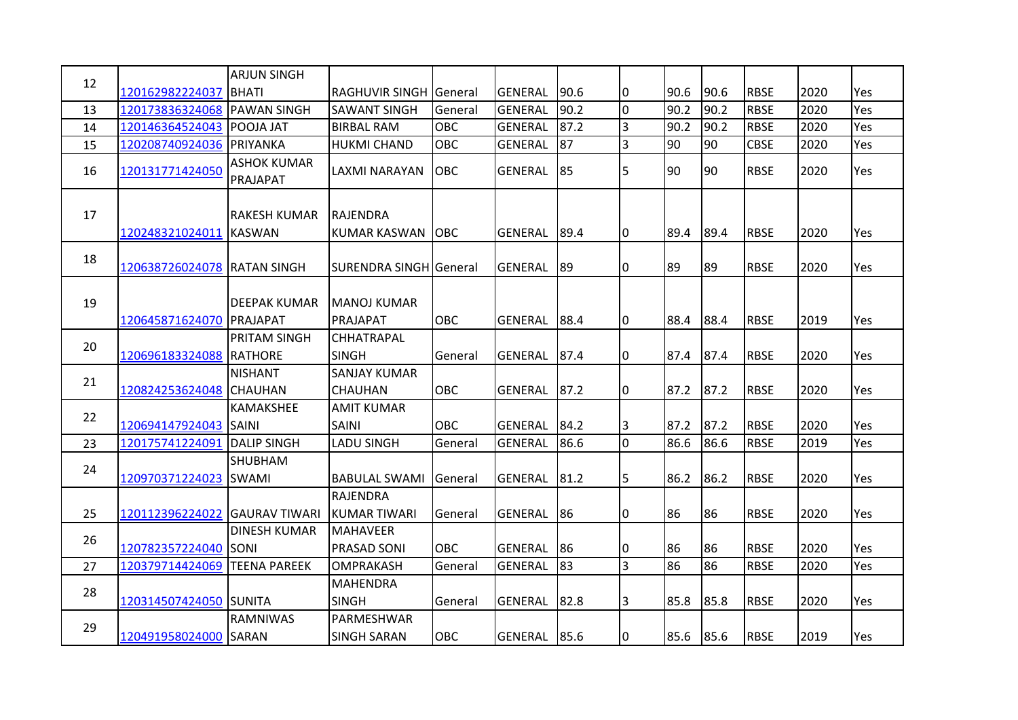|    |                          | <b>ARJUN SINGH</b>             |                                        |            |                |      |                |      |      |             |      |     |
|----|--------------------------|--------------------------------|----------------------------------------|------------|----------------|------|----------------|------|------|-------------|------|-----|
| 12 | 120162982224037          | <b>BHATI</b>                   | RAGHUVIR SINGH General                 |            | <b>GENERAL</b> | 90.6 | 0              | 90.6 | 90.6 | <b>RBSE</b> | 2020 | Yes |
| 13 | 120173836324068          | <b>PAWAN SINGH</b>             | <b>SAWANT SINGH</b>                    | General    | <b>GENERAL</b> | 90.2 | $\overline{0}$ | 90.2 | 90.2 | <b>RBSE</b> | 2020 | Yes |
| 14 | 120146364524043          | <b>POOJA JAT</b>               | <b>BIRBAL RAM</b>                      | OBC        | <b>GENERAL</b> | 87.2 | 3              | 90.2 | 90.2 | <b>RBSE</b> | 2020 | Yes |
| 15 | 120208740924036          | PRIYANKA                       | <b>HUKMI CHAND</b>                     | <b>OBC</b> | <b>GENERAL</b> | 87   | $\overline{3}$ | 90   | 90   | <b>CBSE</b> | 2020 | Yes |
| 16 | 120131771424050          | <b>ASHOK KUMAR</b><br>PRAJAPAT | LAXMI NARAYAN                          | OBC        | <b>GENERAL</b> | 85   | 5              | 90   | 190  | <b>RBSE</b> | 2020 | Yes |
| 17 | 120248321024011          | RAKESH KUMAR<br>KASWAN         | <b>RAJENDRA</b><br><b>KUMAR KASWAN</b> | <b>OBC</b> | GENERAL 89.4   |      | 10             | 89.4 | 89.4 | <b>RBSE</b> | 2020 | Yes |
| 18 | 120638726024078          | <b>IRATAN SINGH</b>            | <b>SURENDRA SINGH General</b>          |            | GENERAL 89     |      | 0              | 89   | 89   | <b>RBSE</b> | 2020 | Yes |
| 19 | 120645871624070 PRAJAPAT | <b>DEEPAK KUMAR</b>            | <b>MANOJ KUMAR</b><br>PRAJAPAT         | <b>OBC</b> | GENERAL 88.4   |      | 0              | 88.4 | 88.4 | <b>RBSE</b> | 2019 | Yes |
| 20 | 120696183324088 RATHORE  | PRITAM SINGH                   | CHHATRAPAL<br><b>SINGH</b>             | General    | GENERAL 87.4   |      | 10             | 87.4 | 87.4 | <b>RBSE</b> | 2020 | Yes |
| 21 | 120824253624048          | NISHANT<br><b>CHAUHAN</b>      | <b>SANJAY KUMAR</b><br>CHAUHAN         | OBC        | GENERAL        | 87.2 | 0              | 87.2 | 87.2 | <b>RBSE</b> | 2020 | Yes |
| 22 | 120694147924043 SAINI    | KAMAKSHEE                      | <b>AMIT KUMAR</b><br><b>SAINI</b>      | <b>OBC</b> | <b>GENERAL</b> | 84.2 | $\overline{3}$ | 87.2 | 87.2 | <b>RBSE</b> | 2020 | Yes |
| 23 | 120175741224091          | <b>DALIP SINGH</b>             | LADU SINGH                             | General    | <b>GENERAL</b> | 86.6 | l0             | 86.6 | 86.6 | <b>RBSE</b> | 2019 | Yes |
| 24 | 120970371224023 SWAMI    | <b>SHUBHAM</b>                 | <b>BABULAL SWAMI</b>                   | General    | GENERAL 81.2   |      | 5              | 86.2 | 86.2 | <b>RBSE</b> | 2020 | Yes |
| 25 | 120112396224022          | <b>GAURAV TIWARI</b>           | RAJENDRA<br><b>KUMAR TIWARI</b>        | General    | GENERAL        | 86   | 0              | 86   | 86   | <b>RBSE</b> | 2020 | Yes |
| 26 | 120782357224040 SONI     | <b>DINESH KUMAR</b>            | <b>MAHAVEER</b><br>PRASAD SONI         | <b>OBC</b> | GENERAL 86     |      | 0              | 86   | 86   | <b>RBSE</b> | 2020 | Yes |
| 27 | 120379714424069          | <b>TEENA PAREEK</b>            | OMPRAKASH                              | General    | <b>GENERAL</b> | 83   | $\overline{3}$ | 86   | 86   | <b>RBSE</b> | 2020 | Yes |
| 28 | 120314507424050 SUNITA   |                                | <b>MAHENDRA</b><br><b>SINGH</b>        | General    | GENERAL 82.8   |      | 3              | 85.8 | 85.8 | <b>RBSE</b> | 2020 | Yes |
| 29 | 120491958024000 SARAN    | <b>RAMNIWAS</b>                | PARMESHWAR<br><b>SINGH SARAN</b>       | OBC        | GENERAL 85.6   |      | 0              | 85.6 | 85.6 | <b>RBSE</b> | 2019 | Yes |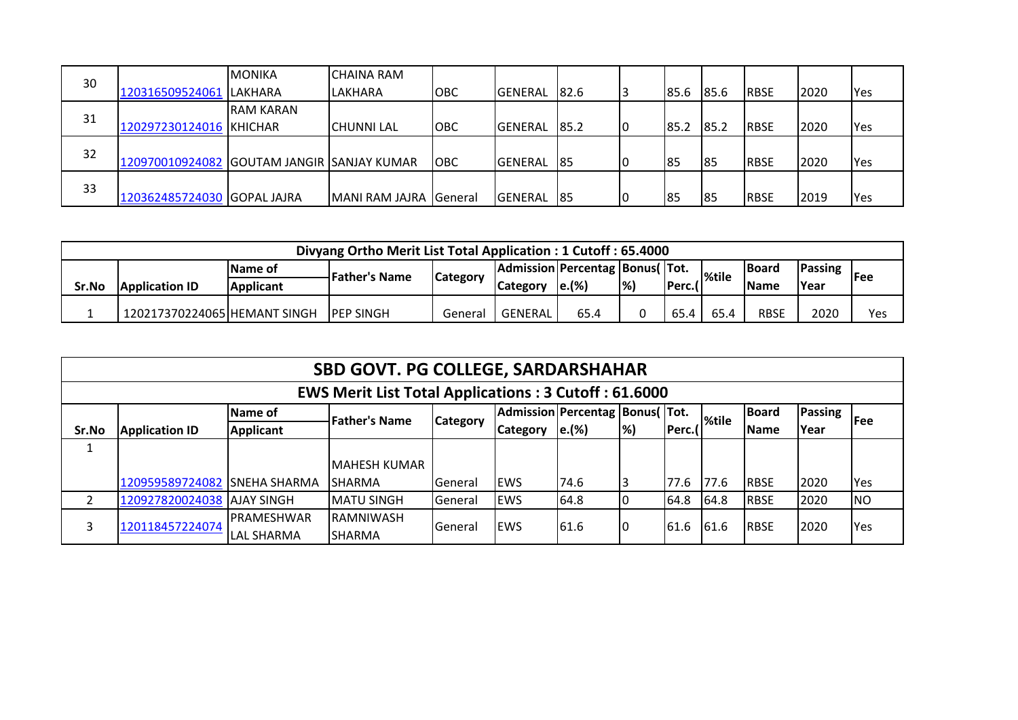|    |                                            | <b>MONIKA</b>     | <b>CHAINA RAM</b>      |            |                 |      |    |       |      |             |      |            |
|----|--------------------------------------------|-------------------|------------------------|------------|-----------------|------|----|-------|------|-------------|------|------------|
| 30 | 120316509524061                            | <b>LAKHARA</b>    | LAKHARA                | <b>OBC</b> | <b>IGENERAL</b> | 82.6 |    | 85.6  | 85.6 | <b>RBSE</b> | 2020 | <b>Yes</b> |
| 31 |                                            | <b>IRAM KARAN</b> |                        |            |                 |      |    |       |      |             |      |            |
|    | 120297230124016 KHICHAR                    |                   | <b>CHUNNI LAL</b>      | <b>OBC</b> | <b>IGENERAL</b> | 85.2 | I0 | 185.2 | 85.2 | <b>RBSE</b> | 2020 | Yes        |
| 32 |                                            |                   |                        |            |                 |      |    |       |      |             |      |            |
|    | 120970010924082 GOUTAM JANGIR SANJAY KUMAR |                   |                        | <b>OBC</b> | <b>GENERAL</b>  | -185 |    | 185   | 85   | <b>RBSE</b> | 2020 | Yes        |
| 33 |                                            |                   |                        |            |                 |      |    |       |      |             |      |            |
|    | 120362485724030 GOPAL JAJRA                |                   | MANI RAM JAJRA General |            | <b>GENERAL</b>  | -185 |    | 85    | 185  | <b>RBSE</b> | 2019 | <b>Yes</b> |

|       |                              |                  | Divyang Ortho Merit List Total Application : 1 Cutoff : 65.4000 |                 |                                |                      |                          |         |        |              |                |            |
|-------|------------------------------|------------------|-----------------------------------------------------------------|-----------------|--------------------------------|----------------------|--------------------------|---------|--------|--------------|----------------|------------|
|       |                              | <b>IName of</b>  | Father's Name                                                   | <b>Category</b> | Admission Percentag Bonus(Tot. |                      |                          |         | l%tile | <b>Board</b> | <b>Passing</b> | <b>Fee</b> |
| Sr.No | <b>Application ID</b>        | <b>Applicant</b> |                                                                 |                 | <b>ICategory</b>               | $\left e\right $ (%) | $\left  \%\right\rangle$ | lPerc.( |        | <b>Name</b>  | <b>IYear</b>   |            |
|       | 120217370224065 HEMANT SINGH |                  | <b>PEP SINGH</b>                                                | General         | <b>GENERAL</b>                 | 65.4                 |                          |         | 65.4   | <b>RBSE</b>  | 2020           | Yes        |

|       |                       |                      | <b>SBD GOVT. PG COLLEGE, SARDARSHAHAR</b>                   |                 |                                |       |    |        |              |             |                |           |
|-------|-----------------------|----------------------|-------------------------------------------------------------|-----------------|--------------------------------|-------|----|--------|--------------|-------------|----------------|-----------|
|       |                       |                      | <b>EWS Merit List Total Applications: 3 Cutoff: 61.6000</b> |                 |                                |       |    |        |              |             |                |           |
|       |                       | Name of              | <b>Father's Name</b>                                        | <b>Category</b> | Admission Percentag Bonus(Tot. |       |    |        | <b>%tile</b> | Board       | <b>Passing</b> | Fee       |
| Sr.No | <b>Application ID</b> | <b>Applicant</b>     |                                                             |                 | <b>Category</b>                | e.(%) | %) | Perc.( |              | Name        | Year           |           |
|       |                       |                      |                                                             |                 |                                |       |    |        |              |             |                |           |
|       |                       |                      | MAHESH KUMAR                                                |                 |                                |       |    |        |              |             |                |           |
|       | 120959589724082       | <b>ISNEHA SHARMA</b> | <b>ISHARMA</b>                                              | General         | <b>EWS</b>                     | 74.6  | 3  | 77.6   | 77.6         | <b>RBSE</b> | 2020           | Yes       |
|       | 120927820024038       | <b>JAJAY SINGH</b>   | <b>MATU SINGH</b>                                           | <b>General</b>  | <b>IEWS</b>                    | 64.8  | 0  | 64.8   | 64.8         | <b>RBSE</b> | 2020           | <b>NO</b> |
|       | 120118457224074       | <b>PRAMESHWAR</b>    | <b>RAMNIWASH</b>                                            | General         | lews                           | 61.6  | 10 | 61.6   | 61.6         | <b>RBSE</b> | 2020           | Yes       |
|       |                       | LAL SHARMA           | <b>ISHARMA</b>                                              |                 |                                |       |    |        |              |             |                |           |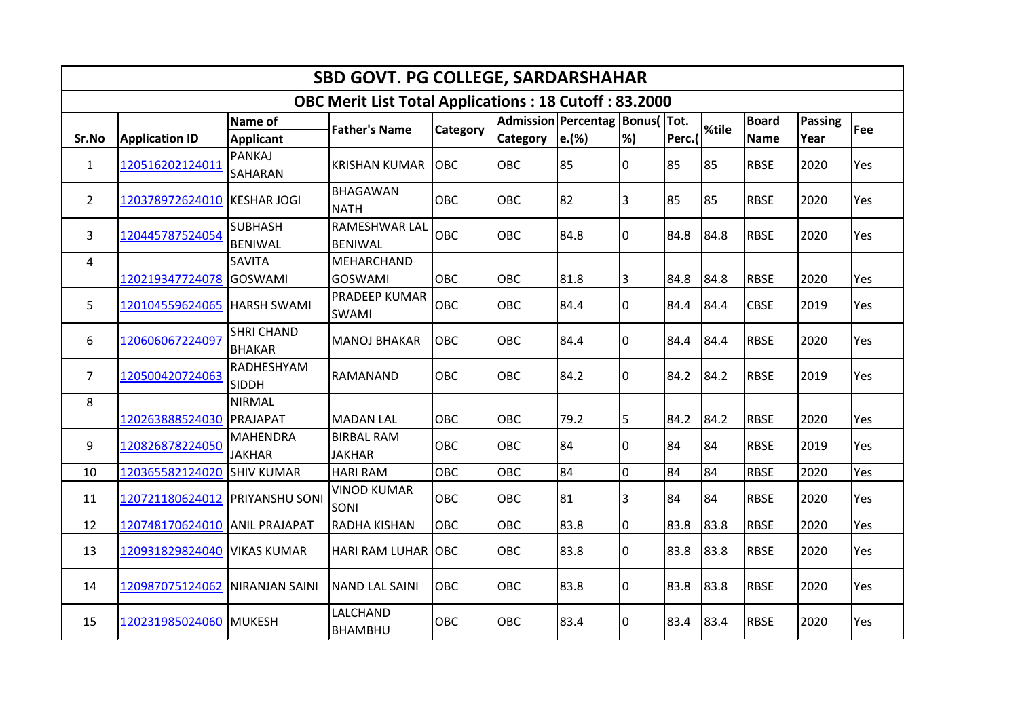|                |                       |                                    | <b>SBD GOVT. PG COLLEGE, SARDARSHAHAR</b>                    |            |            |                                |                |        |       |              |                |     |
|----------------|-----------------------|------------------------------------|--------------------------------------------------------------|------------|------------|--------------------------------|----------------|--------|-------|--------------|----------------|-----|
|                |                       |                                    | <b>OBC Merit List Total Applications: 18 Cutoff: 83.2000</b> |            |            |                                |                |        |       |              |                |     |
|                |                       | Name of                            | <b>Father's Name</b>                                         | Category   |            | Admission Percentag Bonus(Tot. |                |        | %tile | <b>Board</b> | <b>Passing</b> | Fee |
| Sr.No          | <b>Application ID</b> | <b>Applicant</b>                   |                                                              |            | Category   | e.(%)                          | %              | Perc.( |       | Name         | Year           |     |
| $\mathbf{1}$   | 120516202124011       | <b>PANKAJ</b><br><b>SAHARAN</b>    | <b>KRISHAN KUMAR</b>                                         | <b>OBC</b> | OBC        | 85                             | 10             | 85     | 85    | <b>RBSE</b>  | 2020           | Yes |
| $\overline{2}$ | 120378972624010       | <b>KESHAR JOGI</b>                 | <b>BHAGAWAN</b><br><b>NATH</b>                               | OBC        | OBC        | 82                             | 3              | 85     | 85    | <b>RBSE</b>  | 2020           | Yes |
| 3              | 120445787524054       | <b>SUBHASH</b><br><b>BENIWAL</b>   | RAMESHWAR LAL<br><b>BENIWAL</b>                              | <b>OBC</b> | <b>OBC</b> | 84.8                           | 0              | 84.8   | 84.8  | <b>RBSE</b>  | 2020           | Yes |
| $\overline{4}$ | 120219347724078       | <b>SAVITA</b><br>GOSWAMI           | MEHARCHAND<br><b>GOSWAMI</b>                                 | OBC        | OBC        | 81.8                           | 3              | 84.8   | 84.8  | <b>RBSE</b>  | 2020           | Yes |
| 5              | 120104559624065       | <b>HARSH SWAMI</b>                 | PRADEEP KUMAR<br><b>SWAMI</b>                                | OBC        | OBC        | 84.4                           | 0              | 84.4   | 84.4  | <b>CBSE</b>  | 2019           | Yes |
| 6              | 120606067224097       | <b>SHRI CHAND</b><br><b>BHAKAR</b> | <b>MANOJ BHAKAR</b>                                          | OBC        | OBC        | 84.4                           | 0              | 84.4   | 84.4  | <b>RBSE</b>  | 2020           | Yes |
| 7              | 120500420724063       | RADHESHYAM<br><b>SIDDH</b>         | RAMANAND                                                     | OBC        | OBC        | 84.2                           | 0              | 84.2   | 84.2  | <b>RBSE</b>  | 2019           | Yes |
| 8              | 120263888524030       | <b>NIRMAL</b><br>PRAJAPAT          | <b>MADAN LAL</b>                                             | OBC        | OBC        | 79.2                           |                | 84.2   | 84.2  | <b>RBSE</b>  | 2020           | Yes |
|                |                       | <b>MAHENDRA</b>                    | <b>BIRBAL RAM</b>                                            |            |            |                                | 5              |        |       |              |                |     |
| 9              | 120826878224050       | <b>JAKHAR</b>                      | <b>JAKHAR</b>                                                | OBC        | OBC        | 84                             | 0              | 84     | 84    | <b>RBSE</b>  | 2019           | Yes |
| 10             | 120365582124020       | <b>SHIV KUMAR</b>                  | <b>HARI RAM</b>                                              | OBC        | OBC        | 84                             | 0              | 84     | 84    | <b>RBSE</b>  | 2020           | Yes |
| 11             | 120721180624012       | <b>PRIYANSHU SONI</b>              | <b>VINOD KUMAR</b><br>SONI                                   | OBC        | OBC        | 81                             | 3              | 84     | 84    | <b>RBSE</b>  | 2020           | Yes |
| 12             | 120748170624010       | <b>ANIL PRAJAPAT</b>               | RADHA KISHAN                                                 | <b>OBC</b> | OBC        | 83.8                           | $\overline{0}$ | 83.8   | 83.8  | <b>RBSE</b>  | 2020           | Yes |
| 13             | 120931829824040       | <b>VIKAS KUMAR</b>                 | HARI RAM LUHAR OBC                                           |            | <b>OBC</b> | 83.8                           | 0              | 83.8   | 83.8  | <b>RBSE</b>  | 2020           | Yes |
| 14             | 120987075124062       | NIRANJAN SAINI                     | <b>NAND LAL SAINI</b>                                        | OBC        | OBC        | 83.8                           | 0              | 83.8   | 83.8  | <b>RBSE</b>  | 2020           | Yes |
| 15             | 120231985024060       | MUKESH                             | LALCHAND<br><b>BHAMBHU</b>                                   | OBC        | OBC        | 83.4                           | 0              | 83.4   | 83.4  | <b>RBSE</b>  | 2020           | Yes |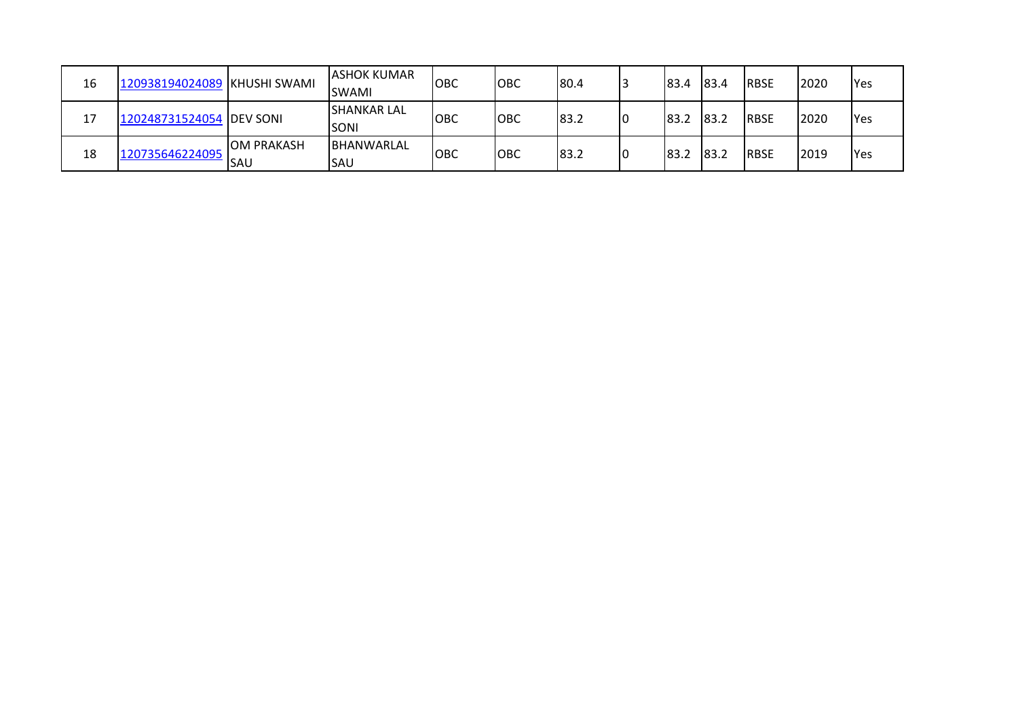| 16 | 120938194024089 KHUSHI SWAMI |                                   | <b>ASHOK KUMAR</b><br><b>SWAMI</b> | OBC        | ІОВС       | 80.4 |    | 83.4  | 83.4 | <b>RBSE</b> | 2020 | <b>Yes</b> |
|----|------------------------------|-----------------------------------|------------------------------------|------------|------------|------|----|-------|------|-------------|------|------------|
| 17 | 120248731524054 DEV SONI     |                                   | <b>SHANKAR LAL</b><br><b>SONI</b>  | OBC        | <b>OBC</b> | 83.2 | 10 | 183.2 | 83.2 | <b>RBSE</b> | 2020 | <b>Yes</b> |
| 18 | (120735646224095)            | <b>JOM PRAKASH</b><br><b>ISAU</b> | BHANWARLAL<br>ISAU                 | <b>OBC</b> | ІОВС       | 83.2 | 10 | 183.2 | 83.2 | <b>RBSE</b> | 2019 | <b>Yes</b> |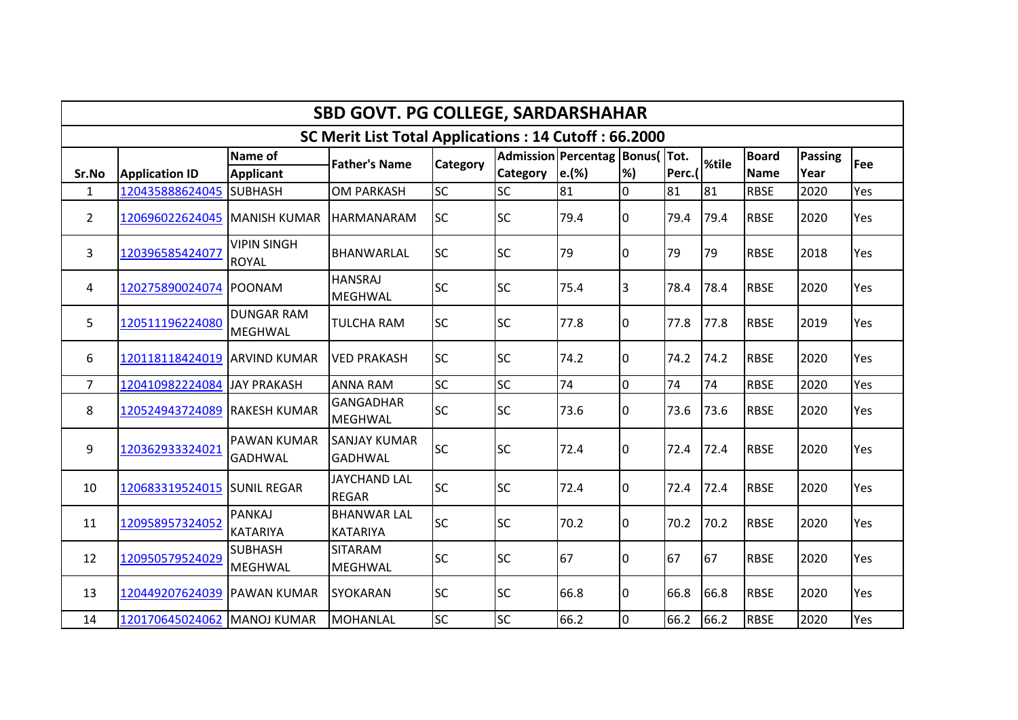|                |                               |                                      | <b>SBD GOVT. PG COLLEGE, SARDARSHAHAR</b>            |                 |           |                                |    |        |       |              |                |     |
|----------------|-------------------------------|--------------------------------------|------------------------------------------------------|-----------------|-----------|--------------------------------|----|--------|-------|--------------|----------------|-----|
|                |                               |                                      | SC Merit List Total Applications: 14 Cutoff: 66.2000 |                 |           |                                |    |        |       |              |                |     |
|                |                               | Name of                              | <b>Father's Name</b>                                 | <b>Category</b> |           | Admission Percentag Bonus(Tot. |    |        | %tile | <b>Board</b> | <b>Passing</b> | Fee |
| Sr.No          | <b>Application ID</b>         | <b>Applicant</b>                     |                                                      |                 | Category  | e.(%)                          | %) | Perc.( |       | <b>Name</b>  | Year           |     |
| 1              | 120435888624045               | <b>SUBHASH</b>                       | <b>OM PARKASH</b>                                    | <b>SC</b>       | <b>SC</b> | 81                             | 0  | 81     | 81    | <b>RBSE</b>  | 2020           | Yes |
| $\overline{2}$ | 120696022624045  MANISH KUMAR |                                      | <b>HARMANARAM</b>                                    | <b>SC</b>       | <b>SC</b> | 79.4                           | 0  | 79.4   | 79.4  | <b>RBSE</b>  | 2020           | Yes |
| 3              | 120396585424077               | <b>VIPIN SINGH</b><br><b>ROYAL</b>   | <b>BHANWARLAL</b>                                    | <b>SC</b>       | <b>SC</b> | 79                             | 0  | 79     | 79    | <b>RBSE</b>  | 2018           | Yes |
| 4              | 120275890024074               | POONAM                               | <b>HANSRAJ</b><br><b>MEGHWAL</b>                     | <b>SC</b>       | <b>SC</b> | 75.4                           | 3  | 78.4   | 78.4  | <b>RBSE</b>  | 2020           | Yes |
| 5              | 120511196224080               | <b>DUNGAR RAM</b><br><b>MEGHWAL</b>  | <b>TULCHA RAM</b>                                    | <b>SC</b>       | SC        | 77.8                           | 0  | 77.8   | 77.8  | <b>RBSE</b>  | 2019           | Yes |
| 6              | 120118118424019               | <b>ARVIND KUMAR</b>                  | <b>VED PRAKASH</b>                                   | <b>SC</b>       | SC        | 74.2                           | 0  | 74.2   | 74.2  | <b>RBSE</b>  | 2020           | Yes |
| $\overline{7}$ | 120410982224084               | JAY PRAKASH                          | <b>ANNA RAM</b>                                      | <b>SC</b>       | SC        | 74                             | 0  | 74     | 74    | <b>RBSE</b>  | 2020           | Yes |
| 8              | 120524943724089               | <b>RAKESH KUMAR</b>                  | <b>GANGADHAR</b><br><b>MEGHWAL</b>                   | <b>SC</b>       | SC        | 73.6                           | 0  | 73.6   | 73.6  | <b>RBSE</b>  | 2020           | Yes |
| 9              | 120362933324021               | <b>PAWAN KUMAR</b><br><b>GADHWAL</b> | <b>SANJAY KUMAR</b><br><b>GADHWAL</b>                | <b>SC</b>       | <b>SC</b> | 72.4                           | 0  | 72.4   | 72.4  | <b>RBSE</b>  | 2020           | Yes |
| 10             | 120683319524015 SUNIL REGAR   |                                      | <b>JAYCHAND LAL</b><br><b>REGAR</b>                  | <b>SC</b>       | SC        | 72.4                           | 0  | 72.4   | 72.4  | <b>RBSE</b>  | 2020           | Yes |
| 11             | 120958957324052               | <b>PANKAJ</b><br><b>KATARIYA</b>     | <b>BHANWAR LAL</b><br><b>KATARIYA</b>                | <b>SC</b>       | <b>SC</b> | 70.2                           | 0  | 70.2   | 70.2  | <b>RBSE</b>  | 2020           | Yes |
| 12             | 120950579524029               | <b>SUBHASH</b><br><b>MEGHWAL</b>     | <b>SITARAM</b><br>MEGHWAL                            | <b>SC</b>       | SC        | 67                             | 0  | 67     | 67    | <b>RBSE</b>  | 2020           | Yes |
| 13             | 120449207624039 PAWAN KUMAR   |                                      | <b>SYOKARAN</b>                                      | <b>SC</b>       | <b>SC</b> | 66.8                           | 0  | 66.8   | 66.8  | <b>RBSE</b>  | 2020           | Yes |
| 14             | 120170645024062               | MANOJ KUMAR                          | <b>MOHANLAL</b>                                      | <b>SC</b>       | SC        | 66.2                           | 0  | 66.2   | 66.2  | <b>RBSE</b>  | 2020           | Yes |